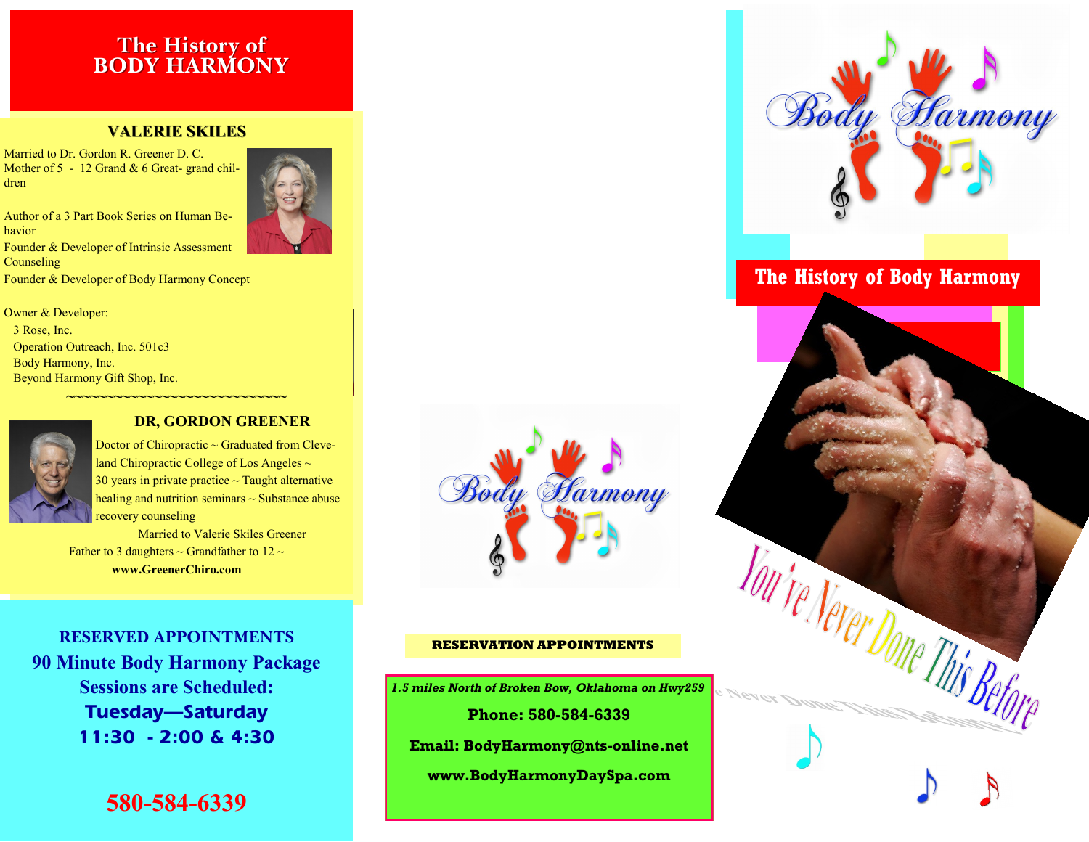### **The History of BODY HARMONY**

### **VALERIE SKILES**

Married to Dr. Gordon R. Greener D. C. Mother of 5 - 12 Grand & 6 Great- grand children

Author of a 3 Part Book Series on Human Behavior Founder & Developer of Intrinsic Assessment **Counseling** Founder & Developer of Body Harmony Concept





### **DR, GORDON GREENER**

**~~~~~~~~~~~~~~~~~~~~~~~~~~~~**

Doctor of Chiropractic  $\sim$  Graduated from Cleveland Chiropractic College of Los Angeles  $\sim$ 30 years in private practice  $\sim$  Taught alternative healing and nutrition seminars  $\sim$  Substance abuse recovery counseling

Married to Valerie Skiles Greener Father to 3 daughters  $\sim$  Grandfather to 12  $\sim$ **www.GreenerChiro.com** 

**RESERVED APPOINTMENTS 90 Minute Body Harmony Package Sessions are Scheduled: Tuesday—Saturday 11:30 - 2:00 & 4:30**

**580-584-6339**



### **RESERVATION APPOINTMENTS**

*1.5 miles North of Broken Bow, Oklahoma on Hwy259* **Phone: 580-584-6339 Email: BodyHarmony@nts-online.net www.BodyHarmonyDaySpa.com** 



## **The History of Body Harmony**